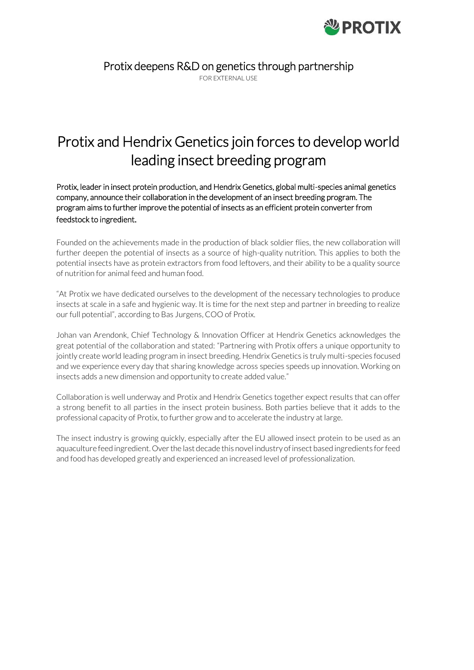

Protix deepens R&D on genetics through partnership

FOR EXTERNAL USE

# Protix and Hendrix Genetics join forces to develop world leading insect breeding program

Protix, leader in insect protein production, and Hendrix Genetics, global multi-species animal genetics company, announce their collaboration in the development of an insect breeding program. The program aims to further improve the potential of insects as an efficient protein converter from feedstock to ingredient.

Founded on the achievements made in the production of black soldier flies, the new collaboration will further deepen the potential of insects as a source of high-quality nutrition. This applies to both the potential insects have as protein extractors from food leftovers, and their ability to be a quality source of nutrition for animal feed and human food.

"At Protix we have dedicated ourselves to the development of the necessary technologies to produce insects at scale in a safe and hygienic way. It is time for the next step and partner in breeding to realize our full potential", according to Bas Jurgens, COO of Protix.

Johan van Arendonk, Chief Technology & Innovation Officer at Hendrix Genetics acknowledges the great potential of the collaboration and stated: "Partnering with Protix offers a unique opportunity to jointly create world leading program in insect breeding. Hendrix Genetics is truly multi-species focused and we experience every day that sharing knowledge across species speeds up innovation. Working on insects adds a new dimension and opportunity to create added value."

Collaboration is well underway and Protix and Hendrix Genetics together expect results that can offer a strong benefit to all parties in the insect protein business. Both parties believe that it adds to the professional capacity of Protix, to further grow and to accelerate the industry at large.

The insect industry is growing quickly, especially after the EU allowed insect protein to be used as an aquaculture feed ingredient. Over the last decade this novel industry of insect based ingredients for feed and food has developed greatly and experienced an increased level of professionalization.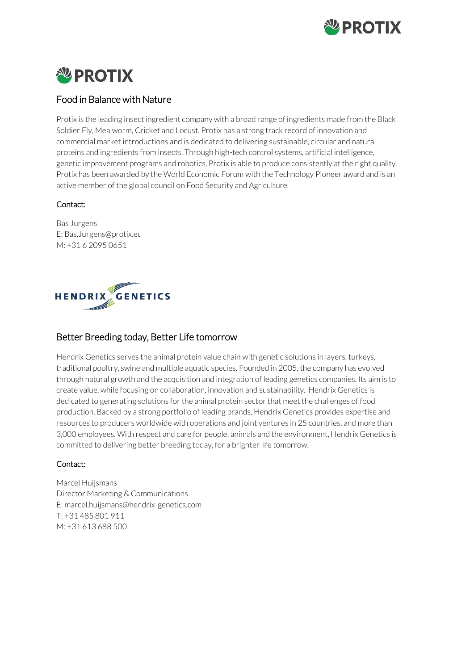

#### **NU PROTIX**  $\overline{\phantom{a}}$

## Food in Balance with Nature

Protix is the leading insect ingredient company with a broad range of ingredients made from the Black Soldier Fly, Mealworm, Cricket and Locust. Protix has a strong track record of innovation and commercial market introductions and is dedicated to delivering sustainable, circular and natural proteins and ingredients from insects. Through high-tech control systems, artificial intelligence, genetic improvement programs and robotics, Protix is able to produce consistently at the right quality. Protix has been awarded by the World Economic Forum with the Technology Pioneer award and is an active member of the global council on Food Security and Agriculture.

### Contact:

Bas Jurgens E[: Bas.Jurgens@protix.eu](mailto:Bas.Jurgens@protix.eu) M: +31 6 2095 0651



## Better Breeding today, Better Life tomorrow

Hendrix Genetics serves the animal protein value chain with genetic solutions in layers, turkeys, traditional poultry, swine and multiple aquatic species. Founded in 2005, the company has evolved through natural growth and the acquisition and integration of leading genetics companies. Its aim is to create value, while focusing on collaboration, innovation and sustainability. Hendrix Genetics is dedicated to generating solutions for the animal protein sector that meet the challenges of food production. Backed by a strong portfolio of leading brands, Hendrix Genetics provides expertise and resources to producers worldwide with operations and joint ventures in 25 countries, and more than 3,000 employees. With respect and care for people, animals and the environment, Hendrix Genetics is committed to delivering better breeding today, for a brighter life tomorrow.

#### Contact:

Marcel Huijsmans Director Marketing & Communications E: marcel.huijsman[s@hendrix-genetics.com](mailto:Evelien.starmans@protix.eu) T: +31 485 801 911 M: +31 613 688 500